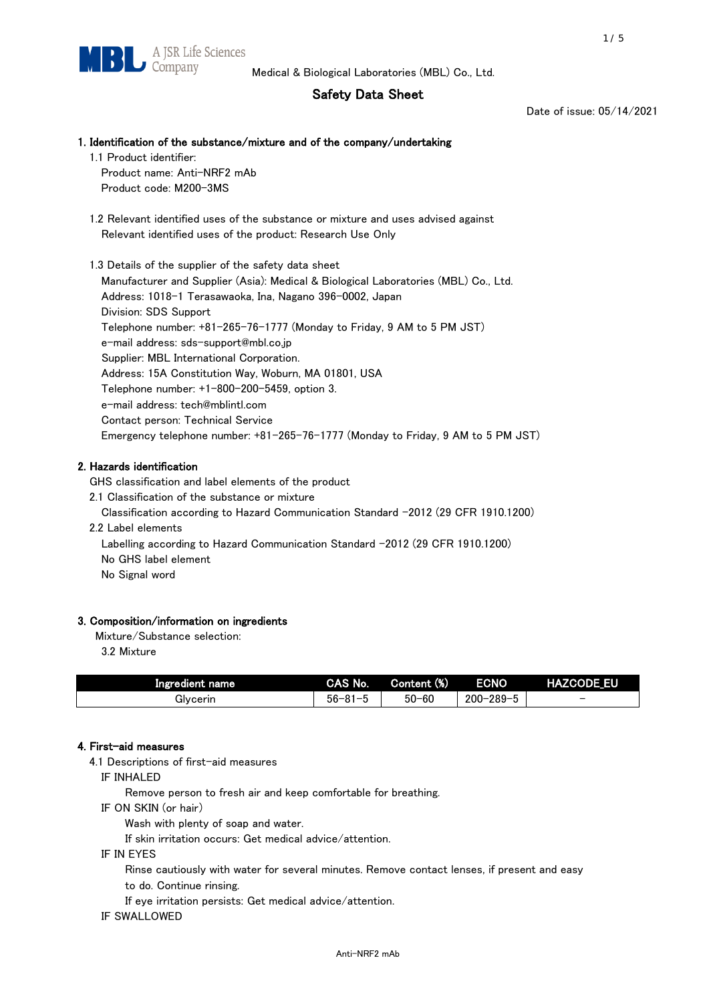# Safety Data Sheet

Date of issue: 05/14/2021

## 1. Identification of the substance/mixture and of the company/undertaking

1.1 Product identifier:

Product name: Anti-NRF2 mAb Product code: M200-3MS

 1.2 Relevant identified uses of the substance or mixture and uses advised against Relevant identified uses of the product: Research Use Only

 1.3 Details of the supplier of the safety data sheet Manufacturer and Supplier (Asia): Medical & Biological Laboratories (MBL) Co., Ltd. Address: 1018-1 Terasawaoka, Ina, Nagano 396-0002, Japan Division: SDS Support Telephone number: +81-265-76-1777 (Monday to Friday, 9 AM to 5 PM JST) e-mail address: sds-support@mbl.co.jp Supplier: MBL International Corporation. Address: 15A Constitution Way, Woburn, MA 01801, USA Telephone number: +1-800-200-5459, option 3. e-mail address: tech@mblintl.com Contact person: Technical Service Emergency telephone number: +81-265-76-1777 (Monday to Friday, 9 AM to 5 PM JST)

# 2. Hazards identification

GHS classification and label elements of the product

2.1 Classification of the substance or mixture

Classification according to Hazard Communication Standard -2012 (29 CFR 1910.1200)

2.2 Label elements

Labelling according to Hazard Communication Standard -2012 (29 CFR 1910.1200) No GHS label element

No Signal word

## 3. Composition/information on ingredients

Mixture/Substance selection:

3.2 Mixture

| Ingredient name | CAS No.             | Content (%) | <b>ECNO</b>                                              | <b>HAZCODE_EU</b>        |
|-----------------|---------------------|-------------|----------------------------------------------------------|--------------------------|
| Glvcerin        | $56 - 81 -$<br>ິບ ເ | $50 - 60$   | $-289 - 1$<br>$200 - 2$<br>$\overline{\phantom{0}}$<br>v | $\overline{\phantom{0}}$ |

## 4. First-aid measures

4.1 Descriptions of first-aid measures

IF INHALED

Remove person to fresh air and keep comfortable for breathing.

IF ON SKIN (or hair)

Wash with plenty of soap and water.

If skin irritation occurs: Get medical advice/attention.

IF IN EYES

Rinse cautiously with water for several minutes. Remove contact lenses, if present and easy

to do. Continue rinsing.

If eye irritation persists: Get medical advice/attention.

IF SWALLOWED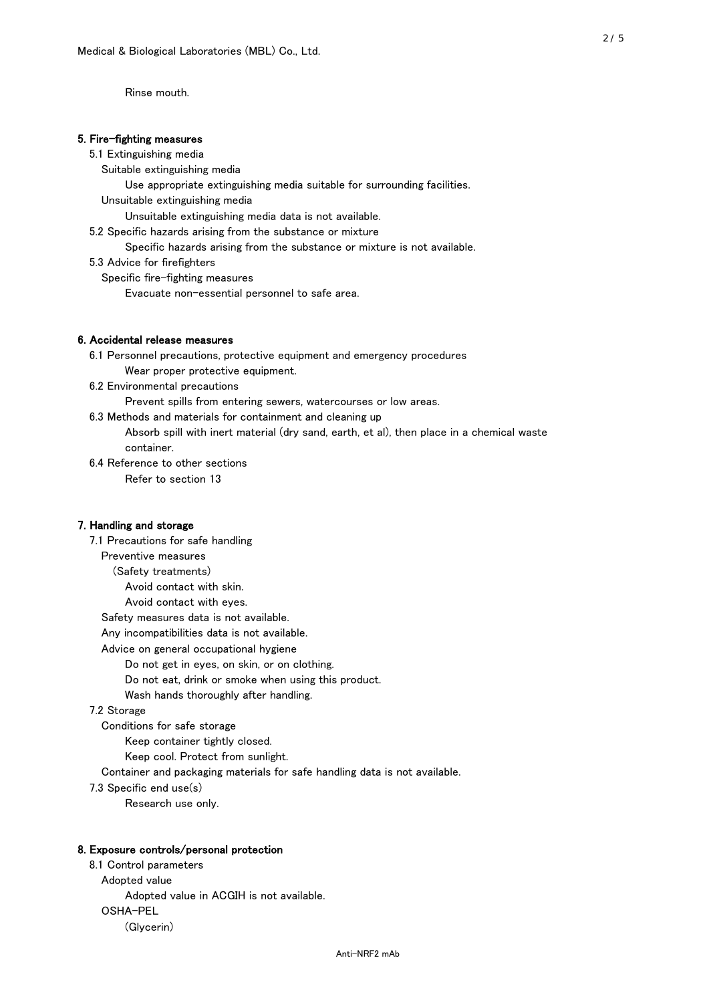Rinse mouth.

## 5. Fire-fighting measures

#### 5.1 Extinguishing media

Suitable extinguishing media

- Use appropriate extinguishing media suitable for surrounding facilities.
- Unsuitable extinguishing media

Unsuitable extinguishing media data is not available.

5.2 Specific hazards arising from the substance or mixture

Specific hazards arising from the substance or mixture is not available.

5.3 Advice for firefighters

Specific fire-fighting measures

Evacuate non-essential personnel to safe area.

#### 6. Accidental release measures

- 6.1 Personnel precautions, protective equipment and emergency procedures Wear proper protective equipment.
- 6.2 Environmental precautions

Prevent spills from entering sewers, watercourses or low areas.

6.3 Methods and materials for containment and cleaning up

- Absorb spill with inert material (dry sand, earth, et al), then place in a chemical waste container.
- 6.4 Reference to other sections

Refer to section 13

## 7. Handling and storage

 7.1 Precautions for safe handling Preventive measures (Safety treatments) Avoid contact with skin. Avoid contact with eyes. Safety measures data is not available. Any incompatibilities data is not available. Advice on general occupational hygiene Do not get in eyes, on skin, or on clothing. Do not eat, drink or smoke when using this product. Wash hands thoroughly after handling. 7.2 Storage Conditions for safe storage Keep container tightly closed.

Keep cool. Protect from sunlight.

Container and packaging materials for safe handling data is not available.

7.3 Specific end use(s)

Research use only.

#### 8. Exposure controls/personal protection

 8.1 Control parameters Adopted value Adopted value in ACGIH is not available. OSHA-PEL (Glycerin)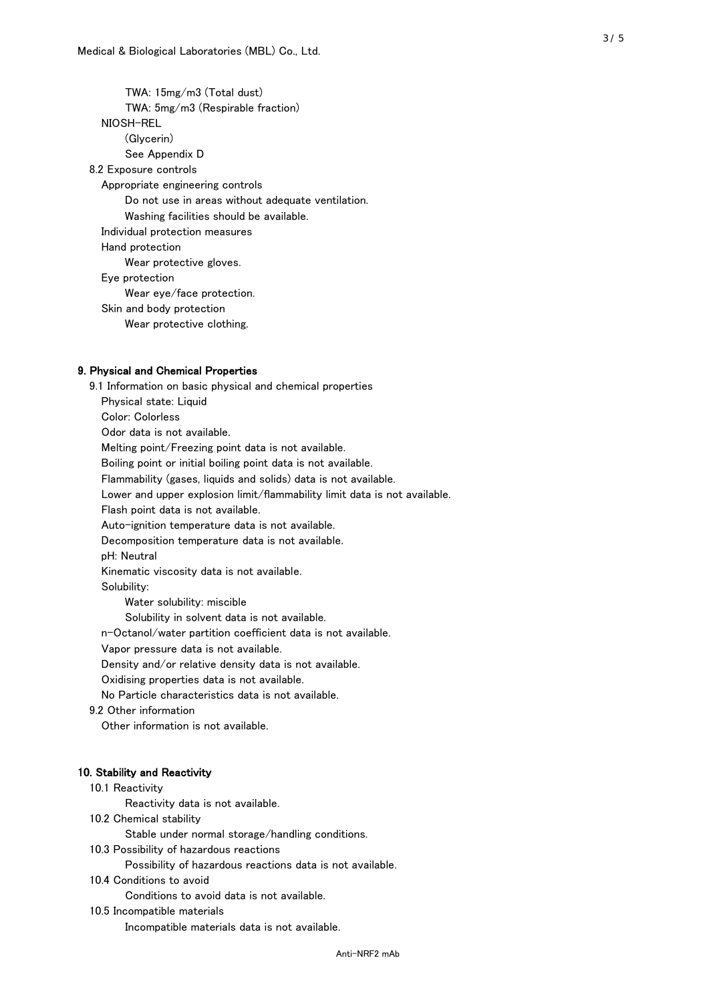TWA: 15mg/m3 (Total dust) TWA: 5mg/m3 (Respirable fraction) NIOSH-REL (Glycerin) See Appendix D 8.2 Exposure controls Appropriate engineering controls Do not use in areas without adequate ventilation. Washing facilities should be available. Individual protection measures Hand protection Wear protective gloves. Eye protection Wear eye/face protection. Skin and body protection Wear protective clothing.

## 9. Physical and Chemical Properties

 9.1 Information on basic physical and chemical properties Physical state: Liquid Color: Colorless Odor data is not available. Melting point/Freezing point data is not available. Boiling point or initial boiling point data is not available. Flammability (gases, liquids and solids) data is not available. Lower and upper explosion limit/flammability limit data is not available. Flash point data is not available. Auto-ignition temperature data is not available. Decomposition temperature data is not available. pH: Neutral Kinematic viscosity data is not available. Solubility: Water solubility: miscible Solubility in solvent data is not available. n-Octanol/water partition coefficient data is not available. Vapor pressure data is not available. Density and/or relative density data is not available. Oxidising properties data is not available. No Particle characteristics data is not available. 9.2 Other information Other information is not available. 10. Stability and Reactivity 10.1 Reactivity Reactivity data is not available. 10.2 Chemical stability Stable under normal storage/handling conditions. 10.3 Possibility of hazardous reactions

Possibility of hazardous reactions data is not available.

## 10.4 Conditions to avoid

Conditions to avoid data is not available.

#### 10.5 Incompatible materials

Incompatible materials data is not available.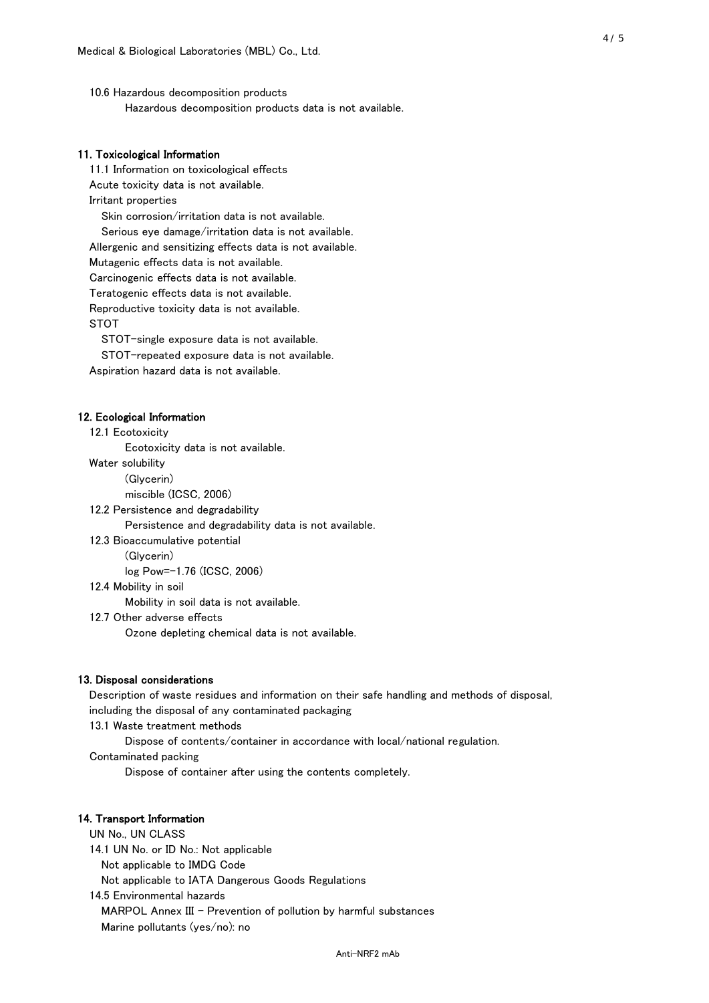10.6 Hazardous decomposition products Hazardous decomposition products data is not available.

## 11. Toxicological Information

 11.1 Information on toxicological effects Acute toxicity data is not available. Irritant properties Skin corrosion/irritation data is not available. Serious eye damage/irritation data is not available. Allergenic and sensitizing effects data is not available. Mutagenic effects data is not available. Carcinogenic effects data is not available. Teratogenic effects data is not available. Reproductive toxicity data is not available. STOT

STOT-single exposure data is not available.

STOT-repeated exposure data is not available.

Aspiration hazard data is not available.

#### 12. Ecological Information

12.1 Ecotoxicity

Ecotoxicity data is not available.

Water solubility

(Glycerin)

miscible (ICSC, 2006)

12.2 Persistence and degradability

Persistence and degradability data is not available.

12.3 Bioaccumulative potential

(Glycerin)

log Pow=-1.76 (ICSC, 2006)

12.4 Mobility in soil

Mobility in soil data is not available.

12.7 Other adverse effects

Ozone depleting chemical data is not available.

#### 13. Disposal considerations

 Description of waste residues and information on their safe handling and methods of disposal, including the disposal of any contaminated packaging

13.1 Waste treatment methods

Dispose of contents/container in accordance with local/national regulation.

Contaminated packing

Dispose of container after using the contents completely.

## 14. Transport Information

 UN No., UN CLASS 14.1 UN No. or ID No.: Not applicable Not applicable to IMDG Code Not applicable to IATA Dangerous Goods Regulations

 14.5 Environmental hazards MARPOL Annex III - Prevention of pollution by harmful substances Marine pollutants (yes/no): no